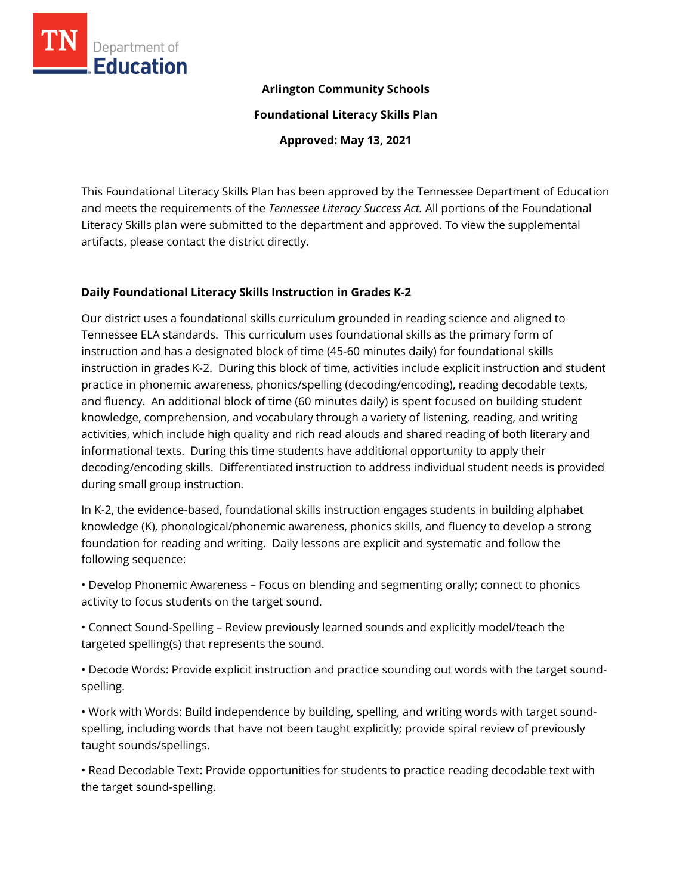

### **Arlington Community Schools**

**Foundational Literacy Skills Plan**

**Approved: May 13, 2021**

This Foundational Literacy Skills Plan has been approved by the Tennessee Department of Education and meets the requirements of the *Tennessee Literacy Success Act.* All portions of the Foundational Literacy Skills plan were submitted to the department and approved. To view the supplemental artifacts, please contact the district directly.

### **Daily Foundational Literacy Skills Instruction in Grades K-2**

Our district uses a foundational skills curriculum grounded in reading science and aligned to Tennessee ELA standards. This curriculum uses foundational skills as the primary form of instruction and has a designated block of time (45-60 minutes daily) for foundational skills instruction in grades K-2. During this block of time, activities include explicit instruction and student practice in phonemic awareness, phonics/spelling (decoding/encoding), reading decodable texts, and fluency. An additional block of time (60 minutes daily) is spent focused on building student knowledge, comprehension, and vocabulary through a variety of listening, reading, and writing activities, which include high quality and rich read alouds and shared reading of both literary and informational texts. During this time students have additional opportunity to apply their decoding/encoding skills. Differentiated instruction to address individual student needs is provided during small group instruction.

In K-2, the evidence-based, foundational skills instruction engages students in building alphabet knowledge (K), phonological/phonemic awareness, phonics skills, and fluency to develop a strong foundation for reading and writing. Daily lessons are explicit and systematic and follow the following sequence:

• Develop Phonemic Awareness – Focus on blending and segmenting orally; connect to phonics activity to focus students on the target sound.

• Connect Sound-Spelling – Review previously learned sounds and explicitly model/teach the targeted spelling(s) that represents the sound.

• Decode Words: Provide explicit instruction and practice sounding out words with the target soundspelling.

• Work with Words: Build independence by building, spelling, and writing words with target soundspelling, including words that have not been taught explicitly; provide spiral review of previously taught sounds/spellings.

• Read Decodable Text: Provide opportunities for students to practice reading decodable text with the target sound-spelling.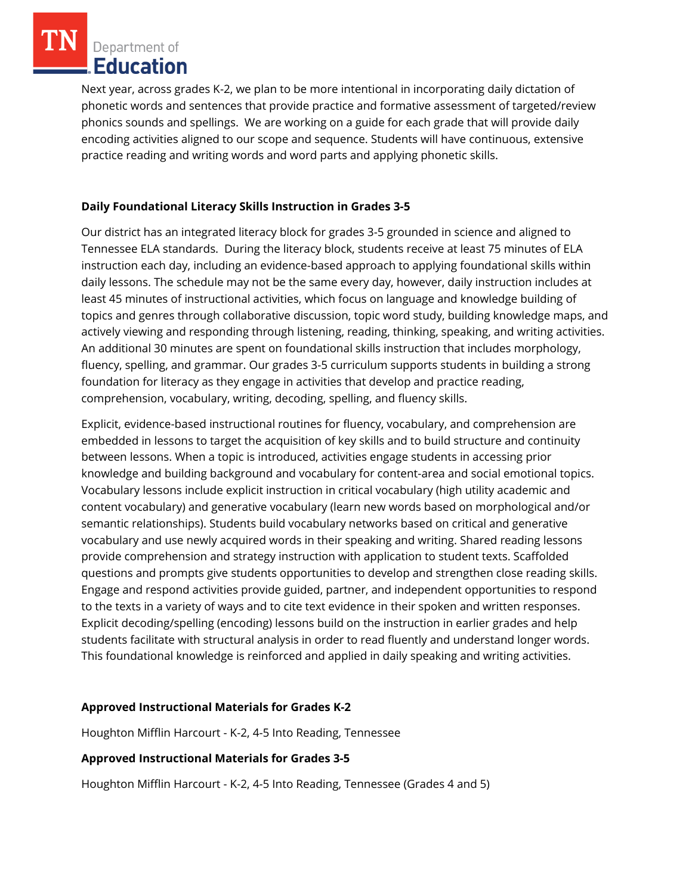Department of **Education** 

Next year, across grades K-2, we plan to be more intentional in incorporating daily dictation of phonetic words and sentences that provide practice and formative assessment of targeted/review phonics sounds and spellings. We are working on a guide for each grade that will provide daily encoding activities aligned to our scope and sequence. Students will have continuous, extensive practice reading and writing words and word parts and applying phonetic skills.

#### **Daily Foundational Literacy Skills Instruction in Grades 3-5**

Our district has an integrated literacy block for grades 3-5 grounded in science and aligned to Tennessee ELA standards. During the literacy block, students receive at least 75 minutes of ELA instruction each day, including an evidence-based approach to applying foundational skills within daily lessons. The schedule may not be the same every day, however, daily instruction includes at least 45 minutes of instructional activities, which focus on language and knowledge building of topics and genres through collaborative discussion, topic word study, building knowledge maps, and actively viewing and responding through listening, reading, thinking, speaking, and writing activities. An additional 30 minutes are spent on foundational skills instruction that includes morphology, fluency, spelling, and grammar. Our grades 3-5 curriculum supports students in building a strong foundation for literacy as they engage in activities that develop and practice reading, comprehension, vocabulary, writing, decoding, spelling, and fluency skills.

Explicit, evidence-based instructional routines for fluency, vocabulary, and comprehension are embedded in lessons to target the acquisition of key skills and to build structure and continuity between lessons. When a topic is introduced, activities engage students in accessing prior knowledge and building background and vocabulary for content-area and social emotional topics. Vocabulary lessons include explicit instruction in critical vocabulary (high utility academic and content vocabulary) and generative vocabulary (learn new words based on morphological and/or semantic relationships). Students build vocabulary networks based on critical and generative vocabulary and use newly acquired words in their speaking and writing. Shared reading lessons provide comprehension and strategy instruction with application to student texts. Scaffolded questions and prompts give students opportunities to develop and strengthen close reading skills. Engage and respond activities provide guided, partner, and independent opportunities to respond to the texts in a variety of ways and to cite text evidence in their spoken and written responses. Explicit decoding/spelling (encoding) lessons build on the instruction in earlier grades and help students facilitate with structural analysis in order to read fluently and understand longer words. This foundational knowledge is reinforced and applied in daily speaking and writing activities.

# **Approved Instructional Materials for Grades K-2**

Houghton Mifflin Harcourt - K-2, 4-5 Into Reading, Tennessee

# **Approved Instructional Materials for Grades 3-5**

Houghton Mifflin Harcourt - K-2, 4-5 Into Reading, Tennessee (Grades 4 and 5)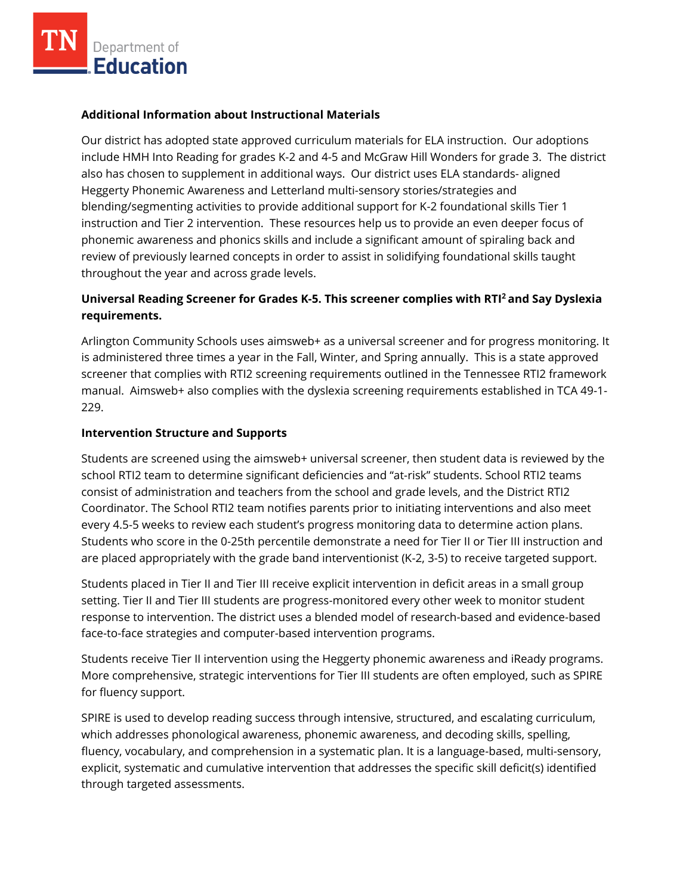#### **Additional Information about Instructional Materials**

Our district has adopted state approved curriculum materials for ELA instruction. Our adoptions include HMH Into Reading for grades K-2 and 4-5 and McGraw Hill Wonders for grade 3. The district also has chosen to supplement in additional ways. Our district uses ELA standards- aligned Heggerty Phonemic Awareness and Letterland multi-sensory stories/strategies and blending/segmenting activities to provide additional support for K-2 foundational skills Tier 1 instruction and Tier 2 intervention. These resources help us to provide an even deeper focus of phonemic awareness and phonics skills and include a significant amount of spiraling back and review of previously learned concepts in order to assist in solidifying foundational skills taught throughout the year and across grade levels.

# **Universal Reading Screener for Grades K-5. This screener complies with RTI<sup>2</sup>and Say Dyslexia requirements.**

Arlington Community Schools uses aimsweb+ as a universal screener and for progress monitoring. It is administered three times a year in the Fall, Winter, and Spring annually. This is a state approved screener that complies with RTI2 screening requirements outlined in the Tennessee RTI2 framework manual. Aimsweb+ also complies with the dyslexia screening requirements established in TCA 49-1- 229.

#### **Intervention Structure and Supports**

Students are screened using the aimsweb+ universal screener, then student data is reviewed by the school RTI2 team to determine significant deficiencies and "at-risk" students. School RTI2 teams consist of administration and teachers from the school and grade levels, and the District RTI2 Coordinator. The School RTI2 team notifies parents prior to initiating interventions and also meet every 4.5-5 weeks to review each student's progress monitoring data to determine action plans. Students who score in the 0-25th percentile demonstrate a need for Tier II or Tier III instruction and are placed appropriately with the grade band interventionist (K-2, 3-5) to receive targeted support.

Students placed in Tier II and Tier III receive explicit intervention in deficit areas in a small group setting. Tier II and Tier III students are progress-monitored every other week to monitor student response to intervention. The district uses a blended model of research-based and evidence-based face-to-face strategies and computer-based intervention programs.

Students receive Tier II intervention using the Heggerty phonemic awareness and iReady programs. More comprehensive, strategic interventions for Tier III students are often employed, such as SPIRE for fluency support.

SPIRE is used to develop reading success through intensive, structured, and escalating curriculum, which addresses phonological awareness, phonemic awareness, and decoding skills, spelling, fluency, vocabulary, and comprehension in a systematic plan. It is a language-based, multi-sensory, explicit, systematic and cumulative intervention that addresses the specific skill deficit(s) identified through targeted assessments.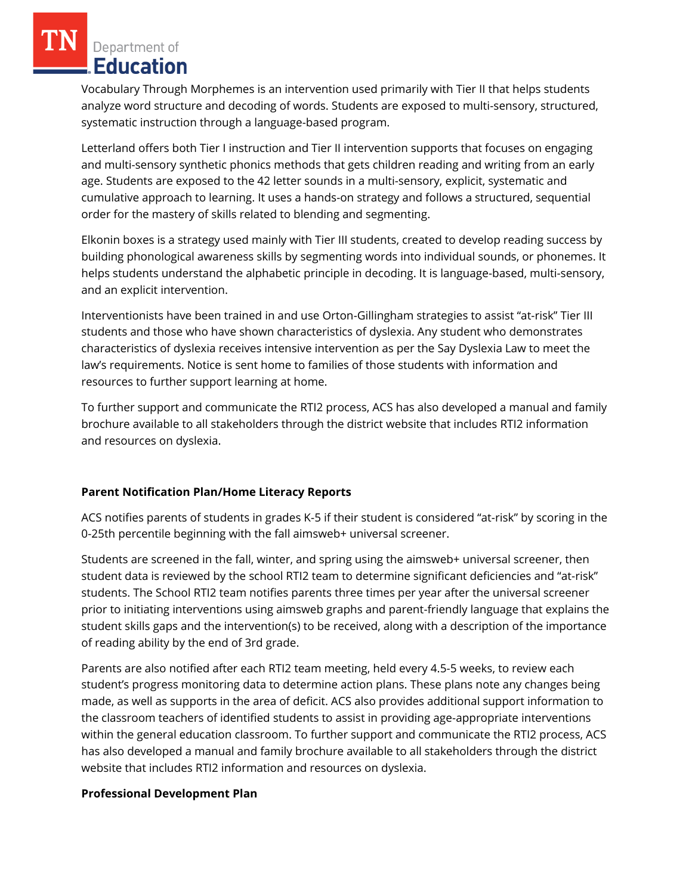Department of **Education** 

Vocabulary Through Morphemes is an intervention used primarily with Tier II that helps students analyze word structure and decoding of words. Students are exposed to multi-sensory, structured, systematic instruction through a language-based program.

Letterland offers both Tier I instruction and Tier II intervention supports that focuses on engaging and multi-sensory synthetic phonics methods that gets children reading and writing from an early age. Students are exposed to the 42 letter sounds in a multi-sensory, explicit, systematic and cumulative approach to learning. It uses a hands-on strategy and follows a structured, sequential order for the mastery of skills related to blending and segmenting.

Elkonin boxes is a strategy used mainly with Tier III students, created to develop reading success by building phonological awareness skills by segmenting words into individual sounds, or phonemes. It helps students understand the alphabetic principle in decoding. It is language-based, multi-sensory, and an explicit intervention.

Interventionists have been trained in and use Orton-Gillingham strategies to assist "at-risk" Tier III students and those who have shown characteristics of dyslexia. Any student who demonstrates characteristics of dyslexia receives intensive intervention as per the Say Dyslexia Law to meet the law's requirements. Notice is sent home to families of those students with information and resources to further support learning at home.

To further support and communicate the RTI2 process, ACS has also developed a manual and family brochure available to all stakeholders through the district website that includes RTI2 information and resources on dyslexia.

#### **Parent Notification Plan/Home Literacy Reports**

ACS notifies parents of students in grades K-5 if their student is considered "at-risk" by scoring in the 0-25th percentile beginning with the fall aimsweb+ universal screener.

Students are screened in the fall, winter, and spring using the aimsweb+ universal screener, then student data is reviewed by the school RTI2 team to determine significant deficiencies and "at-risk" students. The School RTI2 team notifies parents three times per year after the universal screener prior to initiating interventions using aimsweb graphs and parent-friendly language that explains the student skills gaps and the intervention(s) to be received, along with a description of the importance of reading ability by the end of 3rd grade.

Parents are also notified after each RTI2 team meeting, held every 4.5-5 weeks, to review each student's progress monitoring data to determine action plans. These plans note any changes being made, as well as supports in the area of deficit. ACS also provides additional support information to the classroom teachers of identified students to assist in providing age-appropriate interventions within the general education classroom. To further support and communicate the RTI2 process, ACS has also developed a manual and family brochure available to all stakeholders through the district website that includes RTI2 information and resources on dyslexia.

#### **Professional Development Plan**